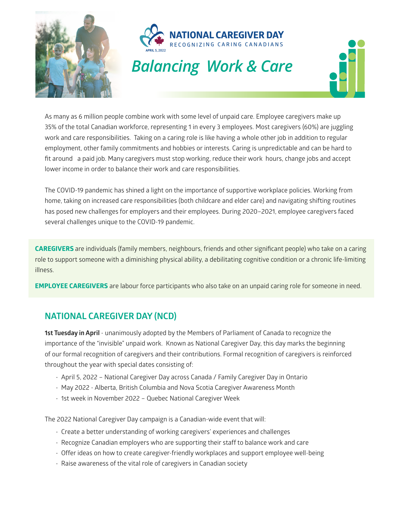



As many as 6 million people combine work with some level of unpaid care. Employee caregivers make up 35% of the total Canadian workforce, representing 1 in every 3 employees. Most caregivers (60%) are juggling work and care responsibilities. Taking on a caring role is like having a whole other job in addition to regular employment, other family commitments and hobbies or interests. Caring is unpredictable and can be hard to fit around a paid job. Many caregivers must stop working, reduce their work hours, change jobs and accept lower income in order to balance their work and care responsibilities.

The COVID-19 pandemic has shined a light on the importance of supportive workplace policies. Working from home, taking on increased care responsibilities (both childcare and elder care) and navigating shifting routines has posed new challenges for employers and their employees. During 2020–2021, employee caregivers faced several challenges unique to the COVID-19 pandemic.

**CAREGIVERS** are individuals (family members, neighbours, friends and other significant people) who take on a caring role to support someone with a diminishing physical ability, a debilitating cognitive condition or a chronic life-limiting illness.

**EMPLOYEE CAREGIVERS** are labour force participants who also take on an unpaid caring role for someone in need.

# **NATIONAL CAREGIVER DAY (NCD)**

**1st Tuesday in April** - unanimously adopted by the Members of Parliament of Canada to recognize the importance of the "invisible" unpaid work. Known as National Caregiver Day, this day marks the beginning of our formal recognition of caregivers and their contributions. Formal recognition of caregivers is reinforced throughout the year with special dates consisting of:

- April 5, 2022 National Caregiver Day across Canada / Family Caregiver Day in Ontario
- May 2022 Alberta, British Columbia and Nova Scotia Caregiver Awareness Month
- 1st week in November 2022 Quebec National Caregiver Week

The 2022 National Caregiver Day campaign is a Canadian-wide event that will:

- Create a better understanding of working caregivers' experiences and challenges
- Recognize Canadian employers who are supporting their staff to balance work and care
- Offer ideas on how to create caregiver-friendly workplaces and support employee well-being
- Raise awareness of the vital role of caregivers in Canadian society